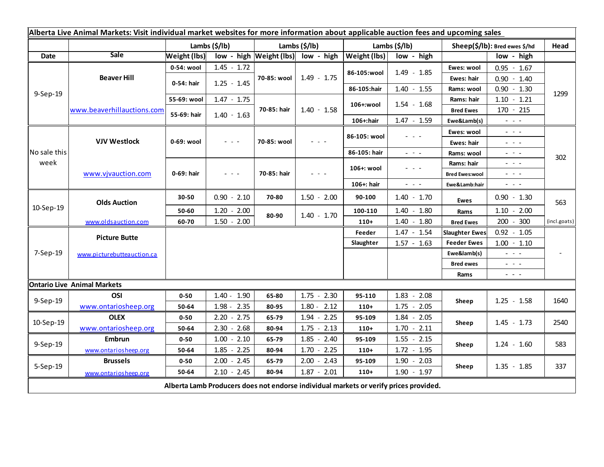| Alberta Live Animal Markets: Visit individual market websites for more information about applicable auction fees and upcoming sales |                                    |                     |                                                                                                                           |                           |                                                                                                                           |                       |                                                                                                                           |                               |                                                                                                                                                               |              |
|-------------------------------------------------------------------------------------------------------------------------------------|------------------------------------|---------------------|---------------------------------------------------------------------------------------------------------------------------|---------------------------|---------------------------------------------------------------------------------------------------------------------------|-----------------------|---------------------------------------------------------------------------------------------------------------------------|-------------------------------|---------------------------------------------------------------------------------------------------------------------------------------------------------------|--------------|
|                                                                                                                                     |                                    |                     | Lambs $(\frac{2}{3})$ lb)                                                                                                 | Lambs $(\frac{2}{3})$ lb) |                                                                                                                           | Lambs $(\frac{2}{3})$ |                                                                                                                           | Sheep(\$/lb): Bred ewes \$/hd |                                                                                                                                                               | Head         |
| <b>Date</b>                                                                                                                         | <b>Sale</b>                        | <b>Weight (lbs)</b> |                                                                                                                           |                           | low - high Weight (lbs) low - high                                                                                        | Weight (lbs)          | low - high                                                                                                                |                               | low - high                                                                                                                                                    |              |
| 9-Sep-19                                                                                                                            | <b>Beaver Hill</b>                 | 0-54: wool          | $1.45 - 1.72$                                                                                                             | 70-85: wool               | $1.49 - 1.75$                                                                                                             | 86-105:wool           | $1.49 - 1.85$                                                                                                             | Ewes: wool                    | $0.95 - 1.67$                                                                                                                                                 | 1299<br>302  |
|                                                                                                                                     |                                    | 0-54: hair          | $1.25 - 1.45$                                                                                                             |                           |                                                                                                                           |                       |                                                                                                                           | <b>Ewes: hair</b>             | $0.90 - 1.40$                                                                                                                                                 |              |
|                                                                                                                                     |                                    |                     |                                                                                                                           |                           |                                                                                                                           | 86-105:hair           | $1.40 - 1.55$                                                                                                             | Rams: wool                    | $0.90 - 1.30$                                                                                                                                                 |              |
|                                                                                                                                     | www.beaverhillauctions.com         | 55-69: wool         | $1.47 - 1.75$                                                                                                             | 70-85: hair               | $1.40 - 1.58$                                                                                                             | 106+:wool             | $1.54 - 1.68$                                                                                                             | Rams: hair                    | $1.10 - 1.21$                                                                                                                                                 |              |
|                                                                                                                                     |                                    | 55-69: hair         | $1.40 - 1.63$                                                                                                             |                           |                                                                                                                           |                       |                                                                                                                           | <b>Bred Ewes</b>              | $170 - 215$                                                                                                                                                   |              |
|                                                                                                                                     |                                    |                     |                                                                                                                           |                           |                                                                                                                           | 106+:hair             | $1.47 - 1.59$                                                                                                             | Ewe&Lamb(s)                   | 404.4                                                                                                                                                         |              |
| No sale this<br>week                                                                                                                | <b>VJV Westlock</b>                | 0-69: wool          | $\frac{1}{2} \left( \frac{1}{2} \right) \left( \frac{1}{2} \right) \left( \frac{1}{2} \right) \left( \frac{1}{2} \right)$ | 70-85: wool               | $\frac{1}{2} \left( \frac{1}{2} \right) \left( \frac{1}{2} \right) \left( \frac{1}{2} \right) \left( \frac{1}{2} \right)$ | 86-105: wool          | $\frac{1}{2} \left( \frac{1}{2} \right) \left( \frac{1}{2} \right) \left( \frac{1}{2} \right) \left( \frac{1}{2} \right)$ | Ewes: wool                    | $\omega_{\rm{eff}}$ and $\omega_{\rm{eff}}$                                                                                                                   |              |
|                                                                                                                                     |                                    |                     |                                                                                                                           |                           |                                                                                                                           |                       |                                                                                                                           | <b>Ewes: hair</b>             | $  -$                                                                                                                                                         |              |
|                                                                                                                                     |                                    |                     |                                                                                                                           |                           |                                                                                                                           | 86-105: hair          | $\omega_{\rm{eff}}$ and $\omega_{\rm{eff}}$                                                                               | Rams: wool                    | $ -$                                                                                                                                                          |              |
|                                                                                                                                     | www.vjvauction.com                 | 0-69: hair          |                                                                                                                           | 70-85: hair               | - - -                                                                                                                     | 106+: wool            | - - -                                                                                                                     | Rams: hair                    | $\frac{1}{2} \left( \frac{1}{2} \right) \frac{1}{2} \left( \frac{1}{2} \right) \frac{1}{2} \left( \frac{1}{2} \right) \frac{1}{2} \left( \frac{1}{2} \right)$ |              |
|                                                                                                                                     |                                    |                     | $\omega_{\rm{eff}}$ and $\omega_{\rm{eff}}$                                                                               |                           |                                                                                                                           |                       |                                                                                                                           | <b>Bred Ewes:wool</b>         | $  -$                                                                                                                                                         |              |
|                                                                                                                                     |                                    |                     |                                                                                                                           |                           |                                                                                                                           | 106+: hair            | $\frac{1}{2} \left( \frac{1}{2} \right) \left( \frac{1}{2} \right) \left( \frac{1}{2} \right) \left( \frac{1}{2} \right)$ | Ewe&Lamb:hair                 | - - -                                                                                                                                                         |              |
| 10-Sep-19                                                                                                                           | <b>Olds Auction</b>                | 30-50               | $0.90 - 2.10$                                                                                                             | 70-80                     | $1.50 - 2.00$                                                                                                             | 90-100                | $1.40 - 1.70$                                                                                                             | <b>Ewes</b>                   | $0.90 - 1.30$                                                                                                                                                 | 563          |
|                                                                                                                                     |                                    | 50-60               | $1.20 - 2.00$                                                                                                             | 80-90                     | $1.40 - 1.70$                                                                                                             | 100-110               | $1.40 - 1.80$                                                                                                             | Rams                          | $1.10 - 2.00$                                                                                                                                                 |              |
|                                                                                                                                     | www.oldsauction.com                | 60-70               | $1.50 - 2.00$                                                                                                             |                           |                                                                                                                           | $110+$                | $1.40 - 1.80$                                                                                                             | <b>Bred Ewes</b>              | $200 - 300$                                                                                                                                                   | (incl.goats) |
| 7-Sep-19                                                                                                                            | <b>Picture Butte</b>               |                     |                                                                                                                           |                           | Feeder                                                                                                                    | $1.47 - 1.54$         | <b>Slaughter Ewes</b>                                                                                                     | $0.92 - 1.05$                 |                                                                                                                                                               |              |
|                                                                                                                                     | www.picturebutteauction.ca         |                     |                                                                                                                           |                           |                                                                                                                           | Slaughter             | $1.57 - 1.63$                                                                                                             | <b>Feeder Ewes</b>            | $1.00 - 1.10$                                                                                                                                                 |              |
|                                                                                                                                     |                                    |                     |                                                                                                                           |                           |                                                                                                                           |                       |                                                                                                                           | Ewe&lamb(s)                   | $  -$                                                                                                                                                         |              |
|                                                                                                                                     |                                    |                     |                                                                                                                           |                           |                                                                                                                           |                       |                                                                                                                           | <b>Bred ewes</b>              | $\omega_{\rm{eff}}$ and $\omega_{\rm{eff}}$                                                                                                                   |              |
|                                                                                                                                     |                                    |                     |                                                                                                                           |                           |                                                                                                                           |                       |                                                                                                                           | Rams                          | $\frac{1}{2} \left( \frac{1}{2} \right) \left( \frac{1}{2} \right) \left( \frac{1}{2} \right) \left( \frac{1}{2} \right)$                                     |              |
|                                                                                                                                     | <b>Ontario Live Animal Markets</b> |                     |                                                                                                                           |                           |                                                                                                                           |                       |                                                                                                                           |                               |                                                                                                                                                               |              |
| 9-Sep-19                                                                                                                            | OSI                                | $0 - 50$            | $1.40 - 1.90$                                                                                                             | 65-80                     | $1.75 - 2.30$                                                                                                             | 95-110                | $1.83 - 2.08$                                                                                                             | Sheep                         | $1.25 - 1.58$                                                                                                                                                 | 1640         |
|                                                                                                                                     | www.ontariosheep.org               | 50-64               | $1.98 - 2.35$                                                                                                             | 80-95                     | $1.80 - 2.12$                                                                                                             | $110+$                | $1.75 - 2.05$                                                                                                             |                               |                                                                                                                                                               |              |
| 10-Sep-19                                                                                                                           | <b>OLEX</b>                        | $0 - 50$            | $2.20 - 2.75$                                                                                                             | 65-79                     | $1.94 - 2.25$                                                                                                             | 95-109                | $1.84 - 2.05$                                                                                                             | Sheep                         | $1.45 - 1.73$                                                                                                                                                 | 2540         |
|                                                                                                                                     | www.ontariosheep.org               | 50-64               | $2.30 - 2.68$                                                                                                             | 80-94                     | $1.75 - 2.13$                                                                                                             | $110+$                | $1.70 - 2.11$                                                                                                             |                               |                                                                                                                                                               |              |
| 9-Sep-19                                                                                                                            | <b>Embrun</b>                      | $0 - 50$            | $1.00 - 2.10$                                                                                                             | 65-79                     | $1.85 - 2.40$                                                                                                             | 95-109                | $1.55 - 2.15$                                                                                                             | Sheep                         | $1.24 - 1.60$                                                                                                                                                 | 583          |
|                                                                                                                                     | www.ontariosheep.org               | 50-64               | $1.85 - 2.25$                                                                                                             | 80-94                     | $1.70 - 2.25$                                                                                                             | $110+$                | $1.72 - 1.95$                                                                                                             |                               |                                                                                                                                                               |              |
| 5-Sep-19                                                                                                                            | <b>Brussels</b>                    | $0 - 50$            | $2.00 - 2.45$                                                                                                             | 65-79                     | $2.00 - 2.43$                                                                                                             | 95-109                | $1.90 - 2.03$                                                                                                             | Sheep                         | $1.35 - 1.85$                                                                                                                                                 | 337          |
|                                                                                                                                     | www.ontariosheep.org               | 50-64               | $2.10 - 2.45$                                                                                                             | 80-94                     | $1.87 - 2.01$                                                                                                             | $110+$                | $1.90 - 1.97$                                                                                                             |                               |                                                                                                                                                               |              |
| Alberta Lamb Producers does not endorse individual markets or verify prices provided.                                               |                                    |                     |                                                                                                                           |                           |                                                                                                                           |                       |                                                                                                                           |                               |                                                                                                                                                               |              |